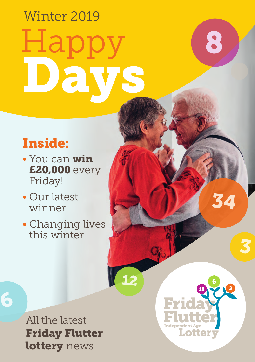# Winter 2019 Days  $\exists$ ar

## 8

34

 $\boldsymbol{\zeta}$ 

#### Inside:

- You can win £20,000 every Friday!
- Our latest winner

6

• Changing lives this winter

12

All the latest Friday Flutter lottery news

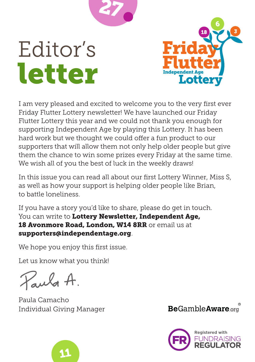

### Editor's letter



I am very pleased and excited to welcome you to the very first ever Friday Flutter Lottery newsletter! We have launched our Friday Flutter Lottery this year and we could not thank you enough for supporting Independent Age by playing this Lottery. It has been hard work but we thought we could offer a fun product to our supporters that will allow them not only help older people but give them the chance to win some prizes every Friday at the same time. We wish all of you the best of luck in the weekly draws!

In this issue you can read all about our first Lottery Winner, Miss S, as well as how your support is helping older people like Brian, to battle loneliness.

If you have a story you'd like to share, please do get in touch. You can write to Lottery Newsletter, Independent Age, 18 Avonmore Road, London, W14 8RR or email us at supporters@independentage.org.

We hope you enjoy this first issue.

Let us know what you think!

Zulo A.

Paula Camacho Individual Giving Manager

**Be**GambleAware.org



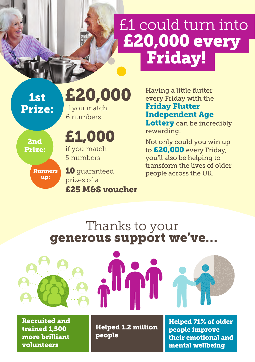#### £1 could turn into £20,000 every Friday!

1st Prize: £20,000

if you match 6 numbers

2nd Prize: if you match 5 numbers £1,000

Runners up:

10 quaranteed prizes of a £25 M&S voucher Having a little flutter every Friday with the Friday Flutter Independent Age

Lottery can be incredibly rewarding.

Not only could you win up to £20,000 every Friday, you'll also be helping to transform the lives of older people across the UK.

## Thanks to your<br>generous support we've...



Recruited and trained 1,500 more brilliant volunteers

Helped 1.2 million people

Helped 71% of older people improve their emotional and mental wellbeing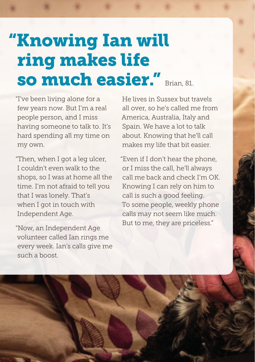#### "Knowing Ian will ring makes life So much easier." Brian, 81.

"I've been living alone for a few years now. But I'm a real people person, and I miss having someone to talk to. It's hard spending all my time on my own.

"Then, when I got a leg ulcer, I couldn't even walk to the shops, so I was at home all the time. I'm not afraid to tell you that I was lonely. That's when I got in touch with Independent Age.

"Now, an Independent Age volunteer called Ian rings me every week. Ian's calls give me such a boost.

He lives in Sussex but travels all over, so he's called me from America, Australia, Italy and Spain. We have a lot to talk about. Knowing that he'll call makes my life that bit easier.

"Even if I don't hear the phone, or I miss the call, he'll always call me back and check I'm OK. Knowing I can rely on him to call is such a good feeling. To some people, weekly phone calls may not seem like much. But to me, they are priceless."

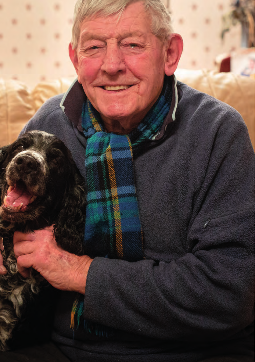